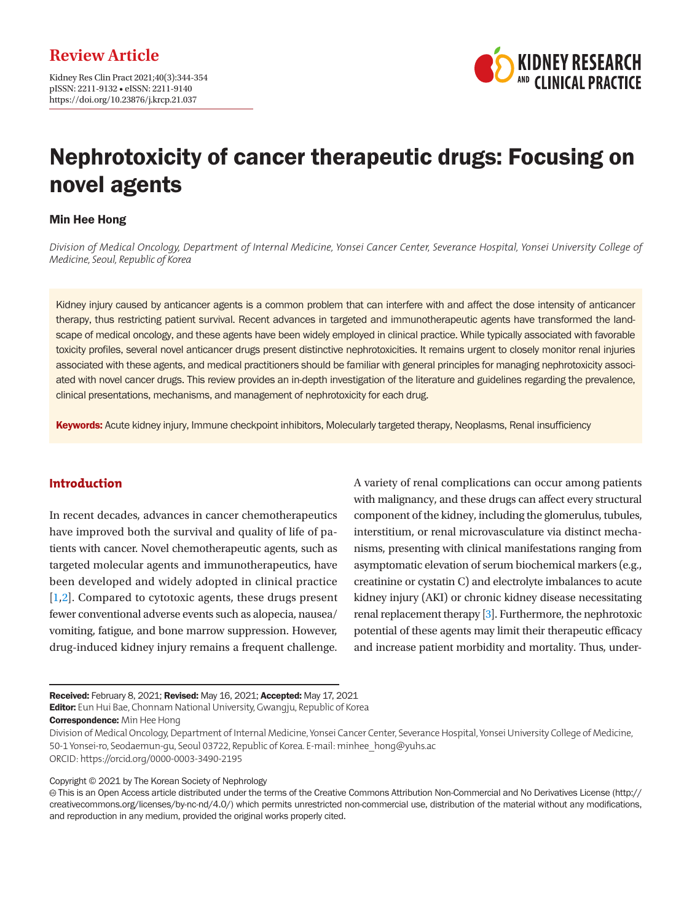Kidney Res Clin Pract 2021;40(3):344-354 pISSN: 2211-9132 • eISSN: 2211-9140 https://doi.org/10.23876/j.krcp.21.037



# Nephrotoxicity of cancer therapeutic drugs: Focusing on novel agents

## Min Hee Hong

*Division of Medical Oncology, Department of Internal Medicine, Yonsei Cancer Center, Severance Hospital, Yonsei University College of Medicine, Seoul, Republic of Korea*

Kidney injury caused by anticancer agents is a common problem that can interfere with and affect the dose intensity of anticancer therapy, thus restricting patient survival. Recent advances in targeted and immunotherapeutic agents have transformed the landscape of medical oncology, and these agents have been widely employed in clinical practice. While typically associated with favorable toxicity profiles, several novel anticancer drugs present distinctive nephrotoxicities. It remains urgent to closely monitor renal injuries associated with these agents, and medical practitioners should be familiar with general principles for managing nephrotoxicity associated with novel cancer drugs. This review provides an in-depth investigation of the literature and guidelines regarding the prevalence, clinical presentations, mechanisms, and management of nephrotoxicity for each drug.

Keywords: Acute kidney injury, Immune checkpoint inhibitors, Molecularly targeted therapy, Neoplasms, Renal insufficiency

# **Introduction**

In recent decades, advances in cancer chemotherapeutics have improved both the survival and quality of life of patients with cancer. Novel chemotherapeutic agents, such as targeted molecular agents and immunotherapeutics, have been developed and widely adopted in clinical practice [\[1](#page-7-0)[,2\]](#page-7-1). Compared to cytotoxic agents, these drugs present fewer conventional adverse events such as alopecia, nausea/ vomiting, fatigue, and bone marrow suppression. However, drug-induced kidney injury remains a frequent challenge. A variety of renal complications can occur among patients with malignancy, and these drugs can affect every structural component of the kidney, including the glomerulus, tubules, interstitium, or renal microvasculature via distinct mechanisms, presenting with clinical manifestations ranging from asymptomatic elevation of serum biochemical markers (e.g., creatinine or cystatin C) and electrolyte imbalances to acute kidney injury (AKI) or chronic kidney disease necessitating renal replacement therapy [\[3\]](#page-7-2). Furthermore, the nephrotoxic potential of these agents may limit their therapeutic efficacy and increase patient morbidity and mortality. Thus, under-

**Editor:** Eun Hui Bae, Chonnam National University, Gwangju, Republic of Korea

**Correspondence:** Min Hee Hong

Copyright © 2021 by The Korean Society of Nephrology

Received: February 8, 2021; Revised: May 16, 2021; Accepted: May 17, 2021

Division of Medical Oncology, Department of Internal Medicine, Yonsei Cancer Center, Severance Hospital, Yonsei University College of Medicine, 50-1 Yonsei-ro, Seodaemun-gu, Seoul 03722, Republic of Korea. E-mail: minhee\_hong@yuhs.ac ORCID: https://orcid.org/0000-0003-3490-2195

This is an Open Access article distributed under the terms of the Creative Commons Attribution Non-Commercial and No Derivatives License (http:// creativecommons.org/licenses/by-nc-nd/4.0/) which permits unrestricted non-commercial use, distribution of the material without any modifications, and reproduction in any medium, provided the original works properly cited.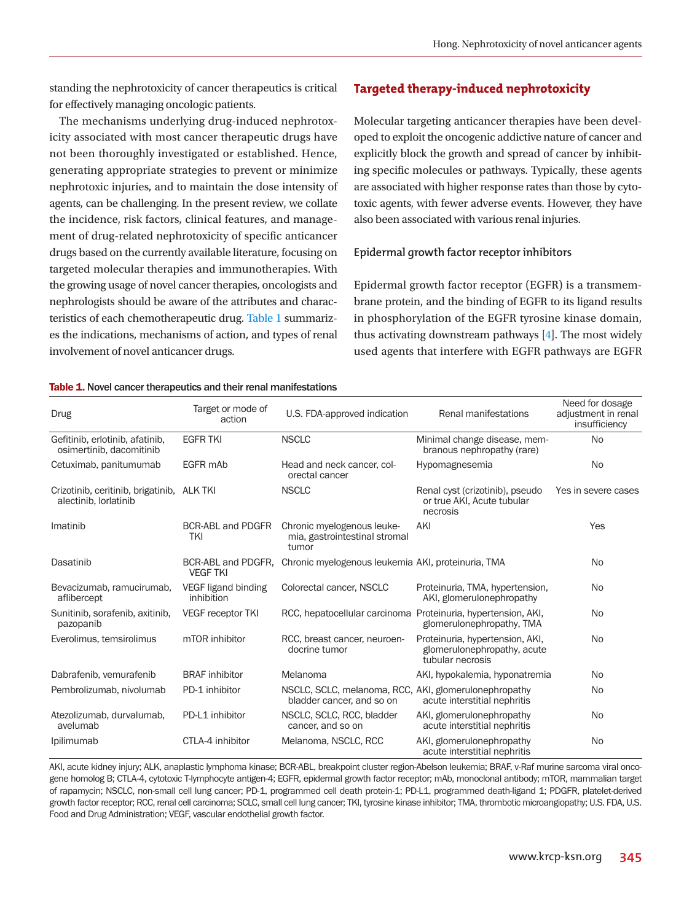standing the nephrotoxicity of cancer therapeutics is critical for effectively managing oncologic patients.

The mechanisms underlying drug-induced nephrotoxicity associated with most cancer therapeutic drugs have not been thoroughly investigated or established. Hence, generating appropriate strategies to prevent or minimize nephrotoxic injuries, and to maintain the dose intensity of agents, can be challenging. In the present review, we collate the incidence, risk factors, clinical features, and management of drug-related nephrotoxicity of specific anticancer drugs based on the currently available literature, focusing on targeted molecular therapies and immunotherapies. With the growing usage of novel cancer therapies, oncologists and nephrologists should be aware of the attributes and characteristics of each chemotherapeutic drug. [Table 1](#page-1-0) summarizes the indications, mechanisms of action, and types of renal involvement of novel anticancer drugs.

# **Targeted therapy-induced nephrotoxicity**

Molecular targeting anticancer therapies have been developed to exploit the oncogenic addictive nature of cancer and explicitly block the growth and spread of cancer by inhibiting specific molecules or pathways. Typically, these agents are associated with higher response rates than those by cytotoxic agents, with fewer adverse events. However, they have also been associated with various renal injuries.

## **Epidermal growth factor receptor inhibitors**

Epidermal growth factor receptor (EGFR) is a transmembrane protein, and the binding of EGFR to its ligand results in phosphorylation of the EGFR tyrosine kinase domain, thus activating downstream pathways [\[4\]](#page-7-3). The most widely used agents that interfere with EGFR pathways are EGFR

#### <span id="page-1-0"></span>Table 1. Novel cancer therapeutics and their renal manifestations

| <b>Drug</b>                                                         | Target or mode of<br>action           | U.S. FDA-approved indication                                                              | Renal manifestations                                                               | Need for dosage<br>adjustment in renal<br>insufficiency |
|---------------------------------------------------------------------|---------------------------------------|-------------------------------------------------------------------------------------------|------------------------------------------------------------------------------------|---------------------------------------------------------|
| Gefitinib, erlotinib, afatinib,<br>osimertinib, dacomitinib         | <b>EGFR TKI</b>                       | <b>NSCLC</b>                                                                              | Minimal change disease, mem-<br>branous nephropathy (rare)                         | <b>No</b>                                               |
| Cetuximab, panitumumab                                              | EGFR mAb                              | Head and neck cancer, col-<br>orectal cancer                                              | Hypomagnesemia                                                                     | <b>No</b>                                               |
| Crizotinib, ceritinib, brigatinib, ALK TKI<br>alectinib. lorlatinib |                                       | <b>NSCLC</b><br>Renal cyst (crizotinib), pseudo<br>or true AKI, Acute tubular<br>necrosis |                                                                                    | Yes in severe cases                                     |
| Imatinib                                                            | <b>BCR-ABL and PDGFR</b><br>TKI       | Chronic myelogenous leuke-<br>mia, gastrointestinal stromal<br>tumor                      | AKI                                                                                | Yes                                                     |
| Dasatinib                                                           | BCR-ABL and PDGFR,<br><b>VEGF TKI</b> | Chronic myelogenous leukemia AKI, proteinuria, TMA                                        |                                                                                    | <b>No</b>                                               |
| Bevacizumab, ramucirumab,<br>aflibercept                            | VEGF ligand binding<br>inhibition     | Colorectal cancer, NSCLC                                                                  | Proteinuria, TMA, hypertension,<br>AKI, glomerulonephropathy                       | <b>No</b>                                               |
| Sunitinib, sorafenib, axitinib,<br>pazopanib                        | <b>VEGF receptor TKI</b>              | RCC, hepatocellular carcinoma Proteinuria, hypertension, AKI,                             | glomerulonephropathy, TMA                                                          | No                                                      |
| Everolimus, temsirolimus                                            | mTOR inhibitor                        | RCC, breast cancer, neuroen-<br>docrine tumor                                             | Proteinuria, hypertension, AKI,<br>glomerulonephropathy, acute<br>tubular necrosis | No                                                      |
| Dabrafenib, vemurafenib                                             | <b>BRAF</b> inhibitor                 | Melanoma                                                                                  | AKI, hypokalemia, hyponatremia                                                     | No.                                                     |
| Pembrolizumab, nivolumab                                            | PD-1 inhibitor                        | NSCLC, SCLC, melanoma, RCC, AKI, glomerulonephropathy<br>bladder cancer, and so on        | acute interstitial nephritis                                                       | <b>No</b>                                               |
| Atezolizumab, durvalumab,<br>avelumab                               | PD-L1 inhibitor                       | NSCLC, SCLC, RCC, bladder<br>cancer, and so on                                            | AKI, glomerulonephropathy<br>acute interstitial nephritis                          | No                                                      |
| Ipilimumab                                                          | CTLA-4 inhibitor                      | Melanoma, NSCLC, RCC                                                                      | AKI, glomerulonephropathy<br>acute interstitial nephritis                          | No                                                      |

AKI, acute kidney injury; ALK, anaplastic lymphoma kinase; BCR-ABL, breakpoint cluster region-Abelson leukemia; BRAF, v-Raf murine sarcoma viral oncogene homolog B; CTLA-4, cytotoxic T-lymphocyte antigen-4; EGFR, epidermal growth factor receptor; mAb, monoclonal antibody; mTOR, mammalian target of rapamycin; NSCLC, non-small cell lung cancer; PD-1, programmed cell death protein-1; PD-L1, programmed death-ligand 1; PDGFR, platelet-derived growth factor receptor; RCC, renal cell carcinoma; SCLC, small cell lung cancer; TKI, tyrosine kinase inhibitor; TMA, thrombotic microangiopathy; U.S. FDA, U.S. Food and Drug Administration; VEGF, vascular endothelial growth factor.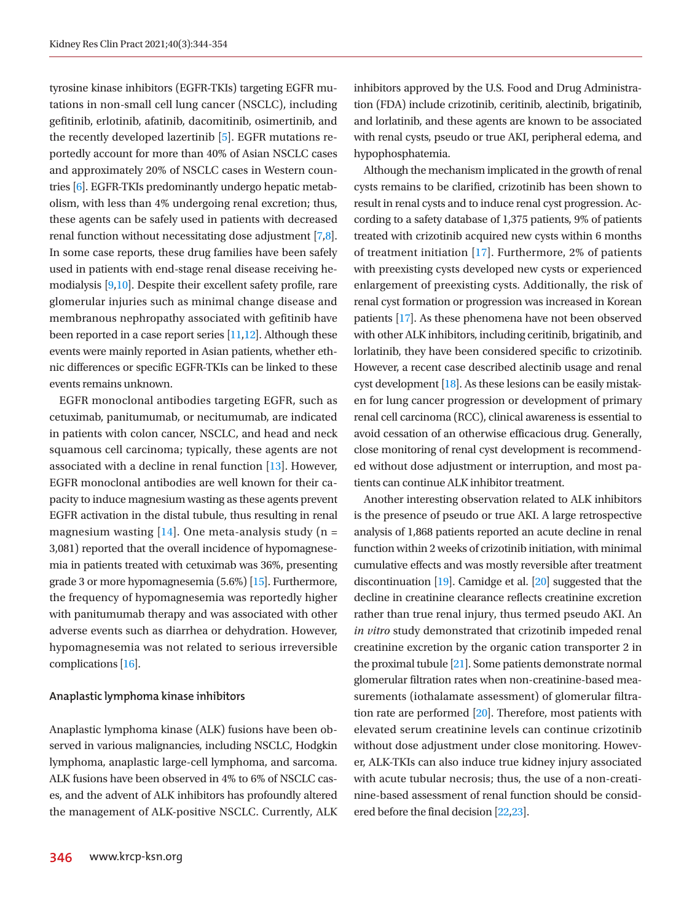tyrosine kinase inhibitors (EGFR-TKIs) targeting EGFR mutations in non-small cell lung cancer (NSCLC), including gefitinib, erlotinib, afatinib, dacomitinib, osimertinib, and the recently developed lazertinib [[5\]](#page-7-4). EGFR mutations reportedly account for more than 40% of Asian NSCLC cases and approximately 20% of NSCLC cases in Western countries [\[6\]](#page-7-5). EGFR-TKIs predominantly undergo hepatic metabolism, with less than 4% undergoing renal excretion; thus, these agents can be safely used in patients with decreased renal function without necessitating dose adjustment [[7,](#page-7-6)[8](#page-7-7)]. In some case reports, these drug families have been safely used in patients with end-stage renal disease receiving hemodialysis [\[9](#page-8-0)[,10](#page-8-1)]. Despite their excellent safety profile, rare glomerular injuries such as minimal change disease and membranous nephropathy associated with gefitinib have been reported in a case report series [\[11](#page-8-2)[,12\]](#page-8-3). Although these events were mainly reported in Asian patients, whether ethnic differences or specific EGFR-TKIs can be linked to these events remains unknown.

EGFR monoclonal antibodies targeting EGFR, such as cetuximab, panitumumab, or necitumumab, are indicated in patients with colon cancer, NSCLC, and head and neck squamous cell carcinoma; typically, these agents are not associated with a decline in renal function [\[13](#page-8-4)]. However, EGFR monoclonal antibodies are well known for their capacity to induce magnesium wasting as these agents prevent EGFR activation in the distal tubule, thus resulting in renal magnesium wasting [\[14](#page-8-5)]. One meta-analysis study ( $n =$ 3,081) reported that the overall incidence of hypomagnesemia in patients treated with cetuximab was 36%, presenting grade 3 or more hypomagnesemia (5.6%) [\[15](#page-8-6)]. Furthermore, the frequency of hypomagnesemia was reportedly higher with panitumumab therapy and was associated with other adverse events such as diarrhea or dehydration. However, hypomagnesemia was not related to serious irreversible complications [\[16\]](#page-8-7).

#### **Anaplastic lymphoma kinase inhibitors**

Anaplastic lymphoma kinase (ALK) fusions have been observed in various malignancies, including NSCLC, Hodgkin lymphoma, anaplastic large-cell lymphoma, and sarcoma. ALK fusions have been observed in 4% to 6% of NSCLC cases, and the advent of ALK inhibitors has profoundly altered the management of ALK-positive NSCLC. Currently, ALK inhibitors approved by the U.S. Food and Drug Administration (FDA) include crizotinib, ceritinib, alectinib, brigatinib, and lorlatinib, and these agents are known to be associated with renal cysts, pseudo or true AKI, peripheral edema, and hypophosphatemia.

Although the mechanism implicated in the growth of renal cysts remains to be clarified, crizotinib has been shown to result in renal cysts and to induce renal cyst progression. According to a safety database of 1,375 patients, 9% of patients treated with crizotinib acquired new cysts within 6 months of treatment initiation [\[17\]](#page-8-7). Furthermore, 2% of patients with preexisting cysts developed new cysts or experienced enlargement of preexisting cysts. Additionally, the risk of renal cyst formation or progression was increased in Korean patients [\[17](#page-8-7)]. As these phenomena have not been observed with other ALK inhibitors, including ceritinib, brigatinib, and lorlatinib, they have been considered specific to crizotinib. However, a recent case described alectinib usage and renal cyst development [\[18](#page-8-8)]. As these lesions can be easily mistaken for lung cancer progression or development of primary renal cell carcinoma (RCC), clinical awareness is essential to avoid cessation of an otherwise efficacious drug. Generally, close monitoring of renal cyst development is recommended without dose adjustment or interruption, and most patients can continue ALK inhibitor treatment.

Another interesting observation related to ALK inhibitors is the presence of pseudo or true AKI. A large retrospective analysis of 1,868 patients reported an acute decline in renal function within 2 weeks of crizotinib initiation, with minimal cumulative effects and was mostly reversible after treatment discontinuation [\[19](#page-8-9)]. Camidge et al. [\[20](#page-8-10)] suggested that the decline in creatinine clearance reflects creatinine excretion rather than true renal injury, thus termed pseudo AKI. An *in vitro* study demonstrated that crizotinib impeded renal creatinine excretion by the organic cation transporter 2 in the proximal tubule [\[21](#page-8-11)]. Some patients demonstrate normal glomerular filtration rates when non-creatinine-based measurements (iothalamate assessment) of glomerular filtration rate are performed [\[20\]](#page-8-10). Therefore, most patients with elevated serum creatinine levels can continue crizotinib without dose adjustment under close monitoring. However, ALK-TKIs can also induce true kidney injury associated with acute tubular necrosis; thus, the use of a non-creatinine-based assessment of renal function should be considered before the final decision [\[22](#page-8-12)[,23](#page-8-13)].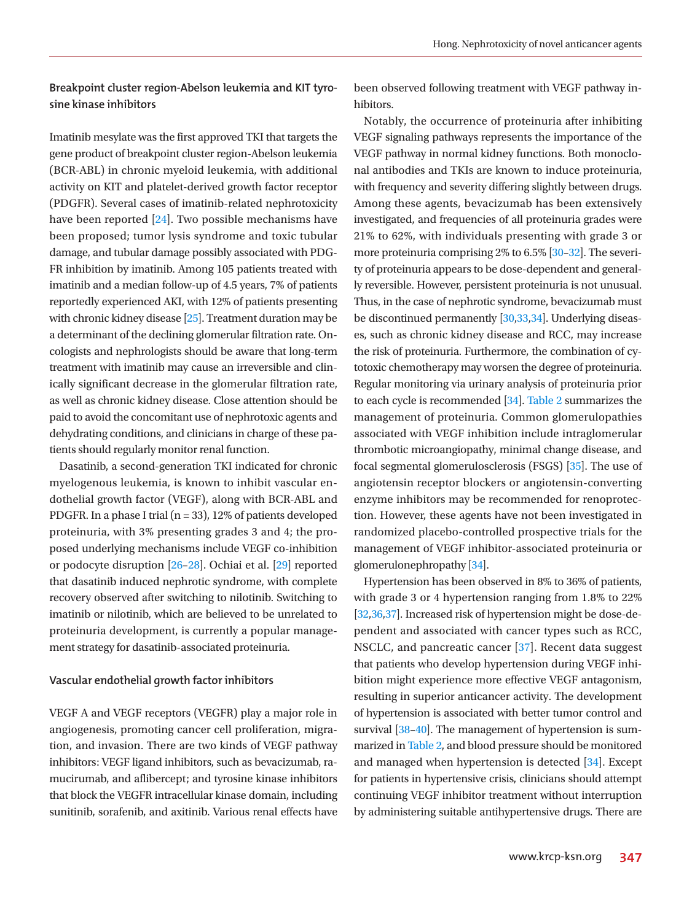# **Breakpoint cluster region-Abelson leukemia and KIT tyrosine kinase inhibitors**

Imatinib mesylate was the first approved TKI that targets the gene product of breakpoint cluster region-Abelson leukemia (BCR-ABL) in chronic myeloid leukemia, with additional activity on KIT and platelet-derived growth factor receptor (PDGFR). Several cases of imatinib-related nephrotoxicity have been reported [\[24\]](#page-8-14). Two possible mechanisms have been proposed; tumor lysis syndrome and toxic tubular damage, and tubular damage possibly associated with PDG-FR inhibition by imatinib. Among 105 patients treated with imatinib and a median follow-up of 4.5 years, 7% of patients reportedly experienced AKI, with 12% of patients presenting with chronic kidney disease [\[25\]](#page-8-15). Treatment duration may be a determinant of the declining glomerular filtration rate. Oncologists and nephrologists should be aware that long-term treatment with imatinib may cause an irreversible and clinically significant decrease in the glomerular filtration rate, as well as chronic kidney disease. Close attention should be paid to avoid the concomitant use of nephrotoxic agents and dehydrating conditions, and clinicians in charge of these patients should regularly monitor renal function.

Dasatinib, a second-generation TKI indicated for chronic myelogenous leukemia, is known to inhibit vascular endothelial growth factor (VEGF), along with BCR-ABL and PDGFR. In a phase I trial ( $n = 33$ ), 12% of patients developed proteinuria, with 3% presenting grades 3 and 4; the proposed underlying mechanisms include VEGF co-inhibition or podocyte disruption [\[26](#page-8-16)–[28\]](#page-8-17). Ochiai et al. [\[29\]](#page-8-18) reported that dasatinib induced nephrotic syndrome, with complete recovery observed after switching to nilotinib. Switching to imatinib or nilotinib, which are believed to be unrelated to proteinuria development, is currently a popular management strategy for dasatinib-associated proteinuria.

## **Vascular endothelial growth factor inhibitors**

VEGF A and VEGF receptors (VEGFR) play a major role in angiogenesis, promoting cancer cell proliferation, migration, and invasion. There are two kinds of VEGF pathway inhibitors: VEGF ligand inhibitors, such as bevacizumab, ramucirumab, and aflibercept; and tyrosine kinase inhibitors that block the VEGFR intracellular kinase domain, including sunitinib, sorafenib, and axitinib. Various renal effects have

been observed following treatment with VEGF pathway inhibitors.

Notably, the occurrence of proteinuria after inhibiting VEGF signaling pathways represents the importance of the VEGF pathway in normal kidney functions. Both monoclonal antibodies and TKIs are known to induce proteinuria, with frequency and severity differing slightly between drugs. Among these agents, bevacizumab has been extensively investigated, and frequencies of all proteinuria grades were 21% to 62%, with individuals presenting with grade 3 or more proteinuria comprising 2% to 6.5% [\[30](#page-8-16)–[32](#page-8-17)]. The severity of proteinuria appears to be dose-dependent and generally reversible. However, persistent proteinuria is not unusual. Thus, in the case of nephrotic syndrome, bevacizumab must be discontinued permanently [\[30](#page-8-16)[,33](#page-8-19)[,34\]](#page-8-20). Underlying diseases, such as chronic kidney disease and RCC, may increase the risk of proteinuria. Furthermore, the combination of cytotoxic chemotherapy may worsen the degree of proteinuria. Regular monitoring via urinary analysis of proteinuria prior to each cycle is recommended [\[34](#page-8-20)]. Table 2 summarizes the management of proteinuria. Common glomerulopathies associated with VEGF inhibition include intraglomerular thrombotic microangiopathy, minimal change disease, and focal segmental glomerulosclerosis (FSGS) [\[35](#page-8-21)]. The use of angiotensin receptor blockers or angiotensin-converting enzyme inhibitors may be recommended for renoprotection. However, these agents have not been investigated in randomized placebo-controlled prospective trials for the management of VEGF inhibitor-associated proteinuria or glomerulonephropathy [\[34\]](#page-8-20).

Hypertension has been observed in 8% to 36% of patients, with grade 3 or 4 hypertension ranging from 1.8% to 22% [[32](#page-8-17)[,36](#page-8-22),[37](#page-8-19)]. Increased risk of hypertension might be dose-dependent and associated with cancer types such as RCC, NSCLC, and pancreatic cancer [\[37\]](#page-8-19). Recent data suggest that patients who develop hypertension during VEGF inhibition might experience more effective VEGF antagonism, resulting in superior anticancer activity. The development of hypertension is associated with better tumor control and survival [\[38](#page-9-0)-40]. The management of hypertension is summarized in [Table 2](#page-4-0), and blood pressure should be monitored and managed when hypertension is detected [\[34](#page-8-20)]. Except for patients in hypertensive crisis, clinicians should attempt continuing VEGF inhibitor treatment without interruption by administering suitable antihypertensive drugs. There are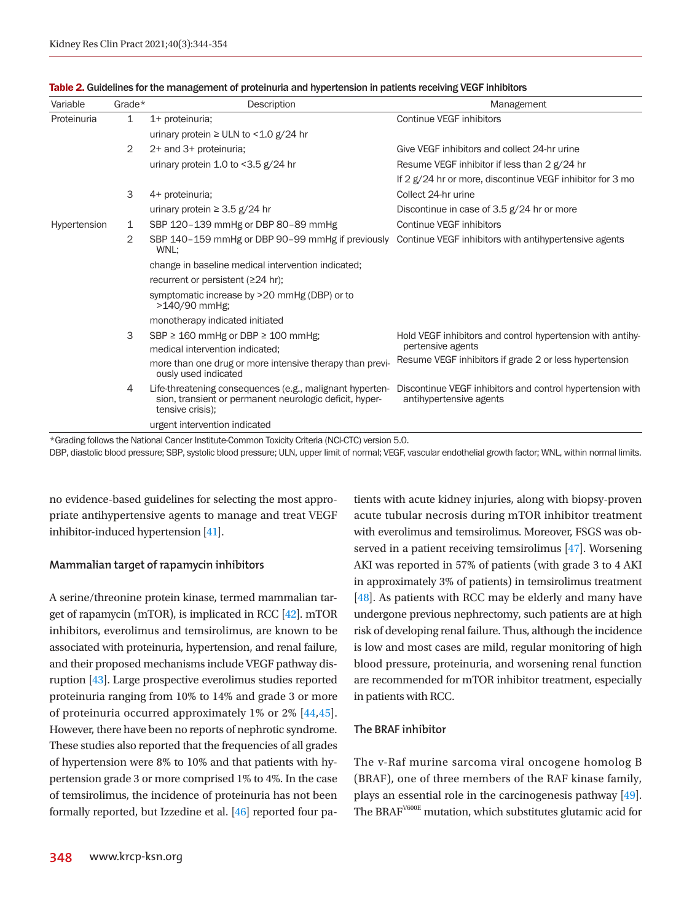| Variable     | Grade $*$ | Description                                                                                                                             | Management                                                                           |  |
|--------------|-----------|-----------------------------------------------------------------------------------------------------------------------------------------|--------------------------------------------------------------------------------------|--|
| Proteinuria  | 1         | 1+ proteinuria;                                                                                                                         | Continue VEGF inhibitors                                                             |  |
|              |           | urinary protein $\geq$ ULN to <1.0 g/24 hr                                                                                              |                                                                                      |  |
|              | 2         | 2+ and 3+ proteinuria;                                                                                                                  | Give VEGF inhibitors and collect 24-hr urine                                         |  |
|              |           | urinary protein 1.0 to <3.5 g/24 hr                                                                                                     | Resume VEGF inhibitor if less than 2 g/24 hr                                         |  |
|              |           |                                                                                                                                         | If 2 g/24 hr or more, discontinue VEGF inhibitor for 3 mo                            |  |
|              | 3         | 4+ proteinuria;                                                                                                                         | Collect 24-hr urine                                                                  |  |
|              |           | urinary protein $\geq 3.5$ g/24 hr                                                                                                      | Discontinue in case of 3.5 g/24 hr or more                                           |  |
| Hypertension | 1         | SBP 120-139 mmHg or DBP 80-89 mmHg                                                                                                      | Continue VEGF inhibitors                                                             |  |
|              | 2         | SBP 140-159 mmHg or DBP 90-99 mmHg if previously<br>WNL:                                                                                | Continue VEGF inhibitors with antihypertensive agents                                |  |
|              |           | change in baseline medical intervention indicated;                                                                                      |                                                                                      |  |
|              |           | recurrent or persistent ( $\geq$ 24 hr);                                                                                                |                                                                                      |  |
|              |           | symptomatic increase by >20 mmHg (DBP) or to<br>>140/90 mmHg;                                                                           |                                                                                      |  |
|              |           | monotherapy indicated initiated                                                                                                         |                                                                                      |  |
|              | 3         | SBP $\geq$ 160 mmHg or DBP $\geq$ 100 mmHg;                                                                                             | Hold VEGF inhibitors and control hypertension with antihy-                           |  |
|              |           | medical intervention indicated;                                                                                                         | pertensive agents                                                                    |  |
|              |           | more than one drug or more intensive therapy than previ-<br>ously used indicated                                                        | Resume VEGF inhibitors if grade 2 or less hypertension                               |  |
|              | 4         | Life-threatening consequences (e.g., malignant hyperten-<br>sion, transient or permanent neurologic deficit, hyper-<br>tensive crisis); | Discontinue VEGF inhibitors and control hypertension with<br>antihypertensive agents |  |
|              |           | urgent intervention indicated                                                                                                           |                                                                                      |  |

<span id="page-4-0"></span>

| Table 2. Guidelines for the management of proteinuria and hypertension in patients receiving VEGF inhibitors |  |  |  |
|--------------------------------------------------------------------------------------------------------------|--|--|--|
|--------------------------------------------------------------------------------------------------------------|--|--|--|

\*Grading follows the National Cancer Institute-Common Toxicity Criteria (NCI-CTC) version 5.0.

DBP, diastolic blood pressure; SBP, systolic blood pressure; ULN, upper limit of normal; VEGF, vascular endothelial growth factor; WNL, within normal limits.

no evidence-based guidelines for selecting the most appropriate antihypertensive agents to manage and treat VEGF inhibitor-induced hypertension [\[41\]](#page-9-2).

## **Mammalian target of rapamycin inhibitors**

A serine/threonine protein kinase, termed mammalian target of rapamycin (mTOR), is implicated in RCC [\[42](#page-9-3)]. mTOR inhibitors, everolimus and temsirolimus, are known to be associated with proteinuria, hypertension, and renal failure, and their proposed mechanisms include VEGF pathway disruption [\[43](#page-9-4)]. Large prospective everolimus studies reported proteinuria ranging from 10% to 14% and grade 3 or more of proteinuria occurred approximately 1% or 2% [\[44](#page-9-5)[,45\]](#page-9-6). However, there have been no reports of nephrotic syndrome. These studies also reported that the frequencies of all grades of hypertension were 8% to 10% and that patients with hypertension grade 3 or more comprised 1% to 4%. In the case of temsirolimus, the incidence of proteinuria has not been formally reported, but Izzedine et al. [\[46\]](#page-9-7) reported four patients with acute kidney injuries, along with biopsy-proven acute tubular necrosis during mTOR inhibitor treatment with everolimus and temsirolimus. Moreover, FSGS was observed in a patient receiving temsirolimus [\[47](#page-9-8)]. Worsening AKI was reported in 57% of patients (with grade 3 to 4 AKI in approximately 3% of patients) in temsirolimus treatment [\[48\]](#page-9-9). As patients with RCC may be elderly and many have undergone previous nephrectomy, such patients are at high risk of developing renal failure. Thus, although the incidence is low and most cases are mild, regular monitoring of high blood pressure, proteinuria, and worsening renal function are recommended for mTOR inhibitor treatment, especially in patients with RCC.

#### **The BRAF inhibitor**

The v-Raf murine sarcoma viral oncogene homolog B (BRAF), one of three members of the RAF kinase family, plays an essential role in the carcinogenesis pathway [\[49](#page-9-10)]. The BRAFV600E mutation, which substitutes glutamic acid for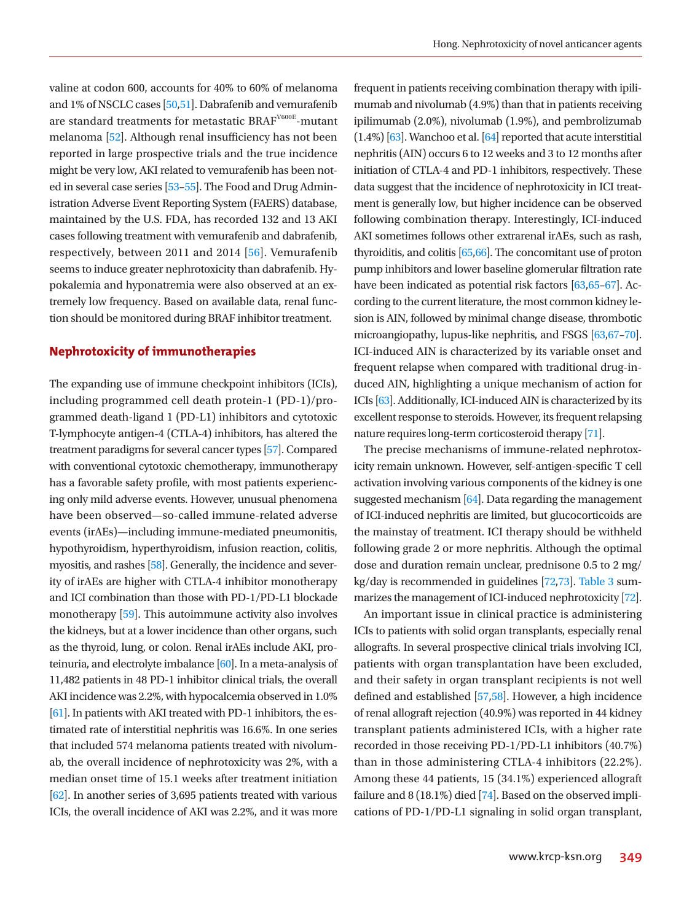valine at codon 600, accounts for 40% to 60% of melanoma and 1% of NSCLC cases [\[50](#page-9-11)[,51\]](#page-9-12). Dabrafenib and vemurafenib are standard treatments for metastatic BRAF<sup>V600E</sup>-mutant melanoma [\[52\]](#page-9-13). Although renal insufficiency has not been reported in large prospective trials and the true incidence might be very low, AKI related to vemurafenib has been noted in several case series [\[53](#page-9-14)[–55\]](#page-9-15). The Food and Drug Administration Adverse Event Reporting System (FAERS) database, maintained by the U.S. FDA, has recorded 132 and 13 AKI cases following treatment with vemurafenib and dabrafenib, respectively, between 2011 and 2014 [\[56\]](#page-9-16). Vemurafenib seems to induce greater nephrotoxicity than dabrafenib. Hypokalemia and hyponatremia were also observed at an extremely low frequency. Based on available data, renal function should be monitored during BRAF inhibitor treatment.

# **Nephrotoxicity of immunotherapies**

The expanding use of immune checkpoint inhibitors (ICIs), including programmed cell death protein-1 (PD-1)/programmed death-ligand 1 (PD-L1) inhibitors and cytotoxic T-lymphocyte antigen-4 (CTLA-4) inhibitors, has altered the treatment paradigms for several cancer types [\[57](#page-9-14)]. Compared with conventional cytotoxic chemotherapy, immunotherapy has a favorable safety profile, with most patients experiencing only mild adverse events. However, unusual phenomena have been observed—so-called immune-related adverse events (irAEs)—including immune-mediated pneumonitis, hypothyroidism, hyperthyroidism, infusion reaction, colitis, myositis, and rashes [\[58](#page-9-17)]. Generally, the incidence and severity of irAEs are higher with CTLA-4 inhibitor monotherapy and ICI combination than those with PD-1/PD-L1 blockade monotherapy [[59\]](#page-9-18). This autoimmune activity also involves the kidneys, but at a lower incidence than other organs, such as the thyroid, lung, or colon. Renal irAEs include AKI, proteinuria, and electrolyte imbalance [\[60\]](#page-9-19). In a meta-analysis of 11,482 patients in 48 PD-1 inhibitor clinical trials, the overall AKI incidence was 2.2%, with hypocalcemia observed in 1.0% [\[61](#page-9-20)]. In patients with AKI treated with PD-1 inhibitors, the estimated rate of interstitial nephritis was 16.6%. In one series that included 574 melanoma patients treated with nivolumab, the overall incidence of nephrotoxicity was 2%, with a median onset time of 15.1 weeks after treatment initiation [\[62](#page-9-21)]. In another series of 3,695 patients treated with various ICIs, the overall incidence of AKI was 2.2%, and it was more

frequent in patients receiving combination therapy with ipilimumab and nivolumab (4.9%) than that in patients receiving ipilimumab (2.0%), nivolumab (1.9%), and pembrolizumab (1.4%) [\[63](#page-9-22)]. Wanchoo et al. [\[64](#page-9-23)] reported that acute interstitial nephritis (AIN) occurs 6 to 12 weeks and 3 to 12 months after initiation of CTLA-4 and PD-1 inhibitors, respectively. These data suggest that the incidence of nephrotoxicity in ICI treatment is generally low, but higher incidence can be observed following combination therapy. Interestingly, ICI-induced AKI sometimes follows other extrarenal irAEs, such as rash, thyroiditis, and colitis [\[65](#page-9-20)[,66\]](#page-10-0). The concomitant use of proton pump inhibitors and lower baseline glomerular filtration rate have been indicated as potential risk factors [\[63](#page-9-22),[65](#page-9-20)[–67\]](#page-9-24). According to the current literature, the most common kidney lesion is AIN, followed by minimal change disease, thrombotic microangiopathy, lupus-like nephritis, and FSGS [\[63](#page-9-22),[67](#page-9-24)[–70](#page-10-1)]. ICI-induced AIN is characterized by its variable onset and frequent relapse when compared with traditional drug-induced AIN, highlighting a unique mechanism of action for ICIs [\[63](#page-9-22)]. Additionally, ICI-induced AIN is characterized by its excellent response to steroids. However, its frequent relapsing nature requires long-term corticosteroid therapy [\[71\]](#page-10-2).

The precise mechanisms of immune-related nephrotoxicity remain unknown. However, self-antigen-specific T cell activation involving various components of the kidney is one suggested mechanism [\[64](#page-9-23)]. Data regarding the management of ICI-induced nephritis are limited, but glucocorticoids are the mainstay of treatment. ICI therapy should be withheld following grade 2 or more nephritis. Although the optimal dose and duration remain unclear, prednisone 0.5 to 2 mg/ kg/day is recommended in guidelines [[72](#page-10-3),[73](#page-10-4)]. [Table 3](#page-6-0) summarizes the management of ICI-induced nephrotoxicity [[72](#page-10-3)].

An important issue in clinical practice is administering ICIs to patients with solid organ transplants, especially renal allografts. In several prospective clinical trials involving ICI, patients with organ transplantation have been excluded, and their safety in organ transplant recipients is not well defined and established [57,58]. However, a high incidence of renal allograft rejection (40.9%) was reported in 44 kidney transplant patients administered ICIs, with a higher rate recorded in those receiving PD-1/PD-L1 inhibitors (40.7%) than in those administering CTLA-4 inhibitors (22.2%). Among these 44 patients, 15 (34.1%) experienced allograft failure and 8 (18.1%) died [\[74](#page-10-5)]. Based on the observed implications of PD-1/PD-L1 signaling in solid organ transplant,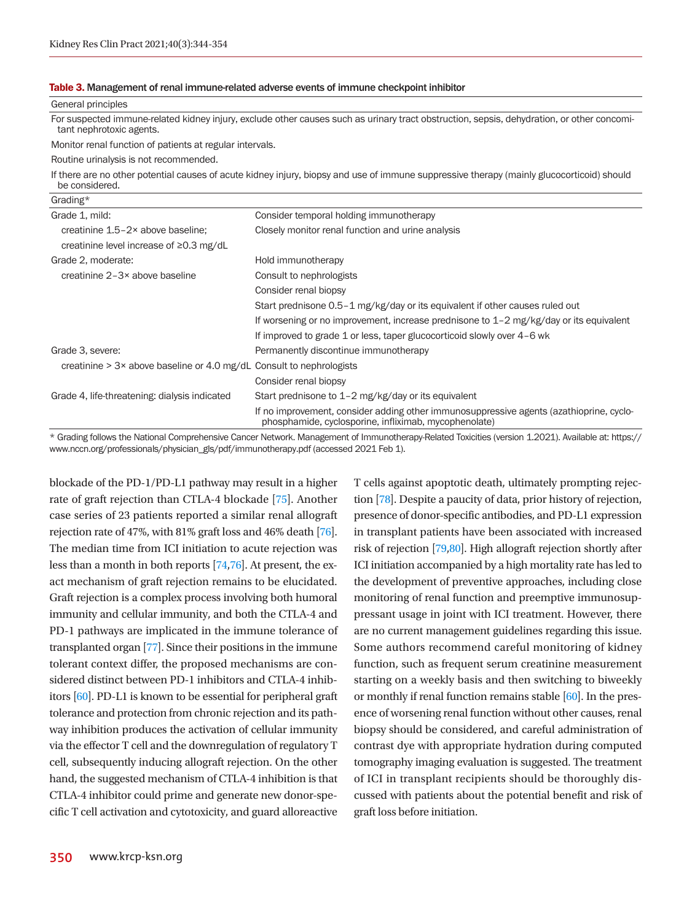#### <span id="page-6-0"></span>Table 3. Management of renal immune-related adverse events of immune checkpoint inhibitor

| General principles                                                           |                                                                                                                                                  |
|------------------------------------------------------------------------------|--------------------------------------------------------------------------------------------------------------------------------------------------|
| tant nephrotoxic agents.                                                     | For suspected immune-related kidney injury, exclude other causes such as urinary tract obstruction, sepsis, dehydration, or other concomi-       |
| Monitor renal function of patients at regular intervals.                     |                                                                                                                                                  |
| Routine urinalysis is not recommended.                                       |                                                                                                                                                  |
| be considered.                                                               | If there are no other potential causes of acute kidney injury, biopsy and use of immune suppressive therapy (mainly glucocorticoid) should       |
| Grading*                                                                     |                                                                                                                                                  |
| Grade 1, mild:                                                               | Consider temporal holding immunotherapy                                                                                                          |
| creatinine 1.5-2× above baseline:                                            | Closely monitor renal function and urine analysis                                                                                                |
| creatinine level increase of ≥0.3 mg/dL                                      |                                                                                                                                                  |
| Grade 2, moderate:                                                           | Hold immunotherapy                                                                                                                               |
| creatinine 2-3× above baseline                                               | Consult to nephrologists                                                                                                                         |
|                                                                              | Consider renal biopsy                                                                                                                            |
|                                                                              | Start prednisone 0.5–1 mg/kg/day or its equivalent if other causes ruled out                                                                     |
|                                                                              | If worsening or no improvement, increase prednisone to $1-2$ mg/kg/day or its equivalent                                                         |
|                                                                              | If improved to grade 1 or less, taper glucocorticoid slowly over 4–6 wk                                                                          |
| Grade 3, severe:                                                             | Permanently discontinue immunotherapy                                                                                                            |
| creatinine $> 3 \times$ above baseline or 4.0 mg/dL Consult to nephrologists |                                                                                                                                                  |
|                                                                              | Consider renal biopsy                                                                                                                            |
| Grade 4, life-threatening: dialysis indicated                                | Start prednisone to 1-2 mg/kg/day or its equivalent                                                                                              |
|                                                                              | If no improvement, consider adding other immunosuppressive agents (azathioprine, cyclo-<br>phosphamide, cyclosporine, infliximab, mycophenolate) |

\* Grading follows the National Comprehensive Cancer Network. Management of Immunotherapy-Related Toxicities (version 1.2021). Available at: https:// www.nccn.org/professionals/physician\_gls/pdf/immunotherapy.pdf (accessed 2021 Feb 1).

blockade of the PD-1/PD-L1 pathway may result in a higher rate of graft rejection than CTLA-4 blockade [\[75](#page-10-6)]. Another case series of 23 patients reported a similar renal allograft rejection rate of 47%, with 81% graft loss and 46% death [\[76](#page-10-7)]. The median time from ICI initiation to acute rejection was less than a month in both reports [\[74](#page-10-5)[,76\]](#page-10-7). At present, the exact mechanism of graft rejection remains to be elucidated. Graft rejection is a complex process involving both humoral immunity and cellular immunity, and both the CTLA-4 and PD-1 pathways are implicated in the immune tolerance of transplanted organ [\[77\]](#page-10-8). Since their positions in the immune tolerant context differ, the proposed mechanisms are considered distinct between PD-1 inhibitors and CTLA-4 inhibitors [60]. PD-L1 is known to be essential for peripheral graft tolerance and protection from chronic rejection and its pathway inhibition produces the activation of cellular immunity via the effector T cell and the downregulation of regulatory T cell, subsequently inducing allograft rejection. On the other hand, the suggested mechanism of CTLA-4 inhibition is that CTLA-4 inhibitor could prime and generate new donor-specific T cell activation and cytotoxicity, and guard alloreactive

tion [\[78](#page-10-9)]. Despite a paucity of data, prior history of rejection, presence of donor-specific antibodies, and PD-L1 expression in transplant patients have been associated with increased risk of rejection [\[79](#page-10-10)[,80\]](#page-10-11). High allograft rejection shortly after ICI initiation accompanied by a high mortality rate has led to the development of preventive approaches, including close monitoring of renal function and preemptive immunosuppressant usage in joint with ICI treatment. However, there are no current management guidelines regarding this issue. Some authors recommend careful monitoring of kidney function, such as frequent serum creatinine measurement starting on a weekly basis and then switching to biweekly or monthly if renal function remains stable  $[60]$ . In the presence of worsening renal function without other causes, renal biopsy should be considered, and careful administration of contrast dye with appropriate hydration during computed tomography imaging evaluation is suggested. The treatment of ICI in transplant recipients should be thoroughly discussed with patients about the potential benefit and risk of graft loss before initiation.

T cells against apoptotic death, ultimately prompting rejec-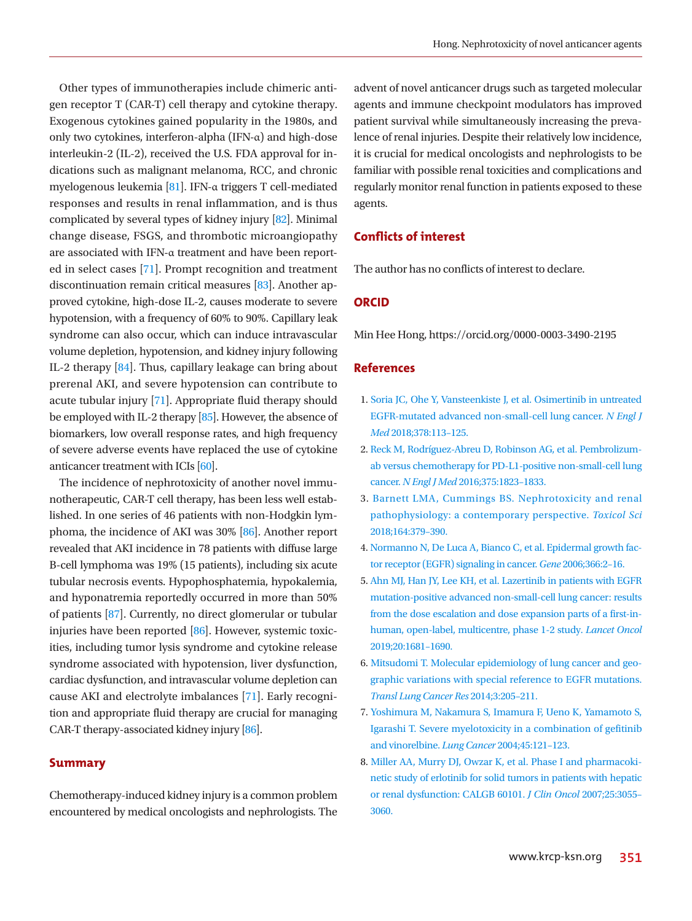Other types of immunotherapies include chimeric antigen receptor T (CAR-T) cell therapy and cytokine therapy. Exogenous cytokines gained popularity in the 1980s, and only two cytokines, interferon-alpha (IFN-α) and high-dose interleukin-2 (IL-2), received the U.S. FDA approval for indications such as malignant melanoma, RCC, and chronic myelogenous leukemia [\[81](#page-10-12)]. IFN-α triggers T cell-mediated responses and results in renal inflammation, and is thus complicated by several types of kidney injury [\[82\]](#page-10-13). Minimal change disease, FSGS, and thrombotic microangiopathy are associated with IFN-α treatment and have been reported in select cases [71]. Prompt recognition and treatment discontinuation remain critical measures [\[83](#page-10-14)]. Another approved cytokine, high-dose IL-2, causes moderate to severe hypotension, with a frequency of 60% to 90%. Capillary leak syndrome can also occur, which can induce intravascular volume depletion, hypotension, and kidney injury following IL-2 therapy [\[84\]](#page-10-15). Thus, capillary leakage can bring about prerenal AKI, and severe hypotension can contribute to acute tubular injury [71]. Appropriate fluid therapy should be employed with IL-2 therapy [\[85](#page-10-16)]. However, the absence of biomarkers, low overall response rates, and high frequency of severe adverse events have replaced the use of cytokine anticancer treatment with ICIs [60].

The incidence of nephrotoxicity of another novel immunotherapeutic, CAR-T cell therapy, has been less well established. In one series of 46 patients with non-Hodgkin lymphoma, the incidence of AKI was 30% [\[86](#page-10-17)]. Another report revealed that AKI incidence in 78 patients with diffuse large B-cell lymphoma was 19% (15 patients), including six acute tubular necrosis events. Hypophosphatemia, hypokalemia, and hyponatremia reportedly occurred in more than 50% of patients [\[87](#page-10-18)]. Currently, no direct glomerular or tubular injuries have been reported [\[86\]](#page-10-13). However, systemic toxicities, including tumor lysis syndrome and cytokine release syndrome associated with hypotension, liver dysfunction, cardiac dysfunction, and intravascular volume depletion can cause AKI and electrolyte imbalances [\[71](#page-10-19)]. Early recognition and appropriate fluid therapy are crucial for managing CAR-T therapy-associated kidney injury [\[86\]](#page-10-20).

## **Summary**

Chemotherapy-induced kidney injury is a common problem encountered by medical oncologists and nephrologists. The

advent of novel anticancer drugs such as targeted molecular agents and immune checkpoint modulators has improved patient survival while simultaneously increasing the prevalence of renal injuries. Despite their relatively low incidence, it is crucial for medical oncologists and nephrologists to be familiar with possible renal toxicities and complications and regularly monitor renal function in patients exposed to these agents.

# **Conflicts of interest**

The author has no conflicts of interest to declare.

## **ORCID**

Min Hee Hong, https://orcid.org/0000-0003-3490-2195

#### **References**

- <span id="page-7-0"></span>1. [Soria JC, Ohe Y, Vansteenkiste J, et al. Osimertinib in untreated](https://doi.org/10.1056/nejmoa1713137)  [EGFR-mutated advanced non-small-cell lung cancer.](https://doi.org/10.1056/nejmoa1713137) *N Engl J Med* [2018;378:113–125.](https://doi.org/10.1056/nejmoa1713137)
- <span id="page-7-1"></span>2. [Reck M, Rodríguez](https://doi.org/10.1056/nejmoa1606774)-Abreu D, Robinson AG, et al. Pembrolizumab versus chemotherapy for PD-L1-positive non-small-cell lung cancer. *N Engl J Med* 2016;375:1823–1833.
- <span id="page-7-2"></span>3. [Barnett LMA, Cummings BS. Nephrotoxicity and renal](https://doi.org/10.1093/toxsci/kfy159)  [pathophysiology: a contemporary perspective.](https://doi.org/10.1093/toxsci/kfy159) *Toxicol Sci*  [2018;164:379–390.](https://doi.org/10.1093/toxsci/kfy159)
- <span id="page-7-3"></span>4[. Normanno N, De Luca A, Bianco C, et al. Epidermal growth fac](https://doi.org/10.1016/j.gene.2005.10.018)[tor receptor \(EGFR\) signaling in cancer.](https://doi.org/10.1016/j.gene.2005.10.018) *Gene* 2006;366:2–16.
- <span id="page-7-4"></span>5[. Ahn MJ, Han JY, Lee KH, et al. Lazertinib in patients with EGFR](https://doi.org/10.1016/s1470-2045(19)30504-2)  [mutation-positive advanced non-small-cell lung cancer: results](https://doi.org/10.1016/s1470-2045(19)30504-2)  [from the dose escalation and dose expansion parts of a first-in](https://doi.org/10.1016/s1470-2045(19)30504-2)[human, open-label, multicentre, phase 1-](https://doi.org/10.1016/s1470-2045(19)30504-2)2 study. *Lancet Oncol*  2019;20:1681–1690.
- <span id="page-7-5"></span>6. [Mitsudomi T. Molecular epidemiology of lung cancer and geo](https://doi.org/10.3978/j.issn.2218-6751.2014.08.04)[graphic variations with special reference to EGFR mutations.](https://doi.org/10.3978/j.issn.2218-6751.2014.08.04)  *[Transl Lung Cancer Res](https://doi.org/10.3978/j.issn.2218-6751.2014.08.04)* 2014;3:205–211.
- <span id="page-7-6"></span>7[. Yoshimura M, Nakamura S, Imamura F, Ueno K, Yamamoto S,](https://doi.org/10.1016/j.lungcan.2004.01.006)  [Igarashi T. Severe myelotoxicity in a combination of gefitinib](https://doi.org/10.1016/j.lungcan.2004.01.006)  [and vinorelbine.](https://doi.org/10.1016/j.lungcan.2004.01.006) *Lung Cancer* 2004;45:121–123.
- <span id="page-7-7"></span>8[. Miller AA, Murry DJ, Owzar K, et al. Phase I and pharmacoki](https://doi.org/10.1200/jco.2007.11.6210)[netic study of erlotinib for solid tumors in patients with hepatic](https://doi.org/10.1200/jco.2007.11.6210)  [or renal dysfunction: CALGB 60101.](https://doi.org/10.1200/jco.2007.11.6210) *J Clin Oncol* 2007;25:3055– [3060](https://doi.org/10.1200/jco.2007.11.6210).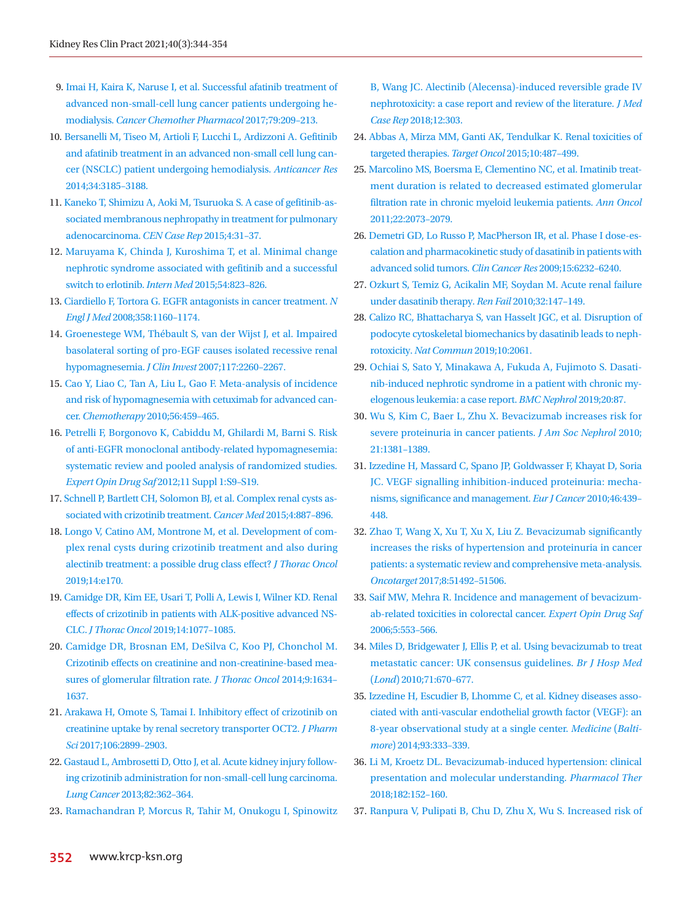- <span id="page-8-0"></span>9[. Imai H, Kaira K, Naruse I, et al. Successful afatinib treatment of](https://doi.org/10.1007/s00280-016-3201-9)  [advanced non-small-cell lung cancer patients undergoing he](https://doi.org/10.1007/s00280-016-3201-9)modialysis. *[Cancer Chemother Pharmacol](https://doi.org/10.1007/s00280-016-3201-9)* 2017;79:209–213.
- <span id="page-8-1"></span>1[0. Bersanelli M, Tiseo M, Artioli F, Lucchi L, Ardizzoni A. Gefitinib](https://www.ncbi.nlm.nih.gov/pubmed/24922692)  [and afatinib treatment in an advanced non-small cell lung can](https://www.ncbi.nlm.nih.gov/pubmed/24922692)[cer \(NSCLC\) patient undergoing hemodialysis.](https://www.ncbi.nlm.nih.gov/pubmed/24922692) *Anticancer Res* [2014;34:3185–3188](https://www.ncbi.nlm.nih.gov/pubmed/24922692).
- <span id="page-8-2"></span>1[1. Kaneko T, Shimizu A, Aoki M, Tsuruoka S. A case of gefitinib-as](https://doi.org/10.1007/s13730-014-0135-0)[sociated membranous nephropathy in treatment for pulmonary](https://doi.org/10.1007/s13730-014-0135-0)  [adenocarcinoma.](https://doi.org/10.1007/s13730-014-0135-0) *CEN Case Rep* 2015;4:31–37.
- <span id="page-8-3"></span>12[. Maruyama K, Chinda J, Kuroshima T, et al. Minimal change](https://doi.org/10.2169/internalmedicine.54.3661)  [nephrotic syndrome associated with gefitinib and a successful](https://doi.org/10.2169/internalmedicine.54.3661)  [switch to erlotinib.](https://doi.org/10.2169/internalmedicine.54.3661) *Intern Med* 2015;54:823–826.
- <span id="page-8-4"></span>1[3. Ciardiello F, Tortora G. EGFR antagonists in cancer treatment.](https://doi.org/10.1056/nejmra0707704) *N Engl J Med* [2008;358:1160–1174](https://doi.org/10.1056/nejmra0707704).
- <span id="page-8-5"></span>1[4. Groenestege WM, Thébault S, van der Wijst J, et al. Impaired](https://doi.org/10.1172/jci31680)  [basolateral sorting of pro-EGF causes isolated recessive renal](https://doi.org/10.1172/jci31680)  hypomagnesemia. *J Clin Invest* [2007;117:2260–2267.](https://doi.org/10.1172/jci31680)
- <span id="page-8-6"></span>1[5. Cao Y, Liao C, Tan A, Liu L, Gao F. Meta-analysis of incidence](https://doi.org/10.1159/000321011)  [and risk of hypomagnesemia with cetuximab for advanced can](https://doi.org/10.1159/000321011)cer. *Chemotherapy* [2010;56:459–465.](https://doi.org/10.1159/000321011)
- <span id="page-8-10"></span><span id="page-8-7"></span>16. Petrelli [F, Borgonovo K, Cabiddu M, Ghilardi M, Barni S. Risk](https://doi.org/10.1517/14740338.2011.606213)  [of anti-EGFR monoclonal antibody-related hypomagnesemia:](https://doi.org/10.1517/14740338.2011.606213)  [systematic review and pooled analysis of randomized studies.](https://doi.org/10.1517/14740338.2011.606213)  *Expert Opin Drug Saf* [2012;11 Suppl 1:S9–S19.](https://doi.org/10.1517/14740338.2011.606213)
- 17. [Schnell P, Bartlett CH, Solomon BJ, et al. Complex renal cysts as](https://doi.org/10.1002/cam4.437)[sociated with crizotinib treatment.](https://doi.org/10.1002/cam4.437) *Cancer Med* 2015;4:887–896.
- <span id="page-8-8"></span>18. [Longo V, Catino AM, Montrone M, et al. Development of com](https://doi.org/10.1016/j.jtho.2019.03.010)[plex renal cysts during crizotinib treatment and also during](https://doi.org/10.1016/j.jtho.2019.03.010)  [alectinib treatment: a possible drug class effect?](https://doi.org/10.1016/j.jtho.2019.03.010) *J Thorac Oncol*  [2019;14:e170.](https://doi.org/10.1016/j.jtho.2019.03.010)
- <span id="page-8-9"></span>19. [Camidge DR, Kim EE, Usari T, Polli A, Lewis I, Wilner KD. Renal](https://doi.org/10.1016/j.jtho.2019.02.015)  [effects of crizotinib in patients with ALK-positive advanced NS-](https://doi.org/10.1016/j.jtho.2019.02.015)CLC. *J Thorac Oncol* [2019;14:1077–1085.](https://doi.org/10.1016/j.jtho.2019.02.015)
- 20. [Camidge DR, Brosnan EM, DeSilva C, Koo PJ, Chonchol M.](https://doi.org/10.1097/jto.0000000000000321)  [Crizotinib effects on creatinine and non-creatinine-based mea](https://doi.org/10.1097/jto.0000000000000321)[sures of glomerular filtration rate.](https://doi.org/10.1097/jto.0000000000000321) *J Thorac Oncol* 2014;9:1634– [1637.](https://doi.org/10.1097/jto.0000000000000321)
- <span id="page-8-11"></span>21. [Arakawa H, Omote S, Tamai I. Inhibitory effect of crizotinib on](https://doi.org/10.1016/j.xphs.2017.03.013)  [creatinine uptake by renal secretory transporter OCT2.](https://doi.org/10.1016/j.xphs.2017.03.013) *J Pharm Sci* [2017;106:2899–2903.](https://doi.org/10.1016/j.xphs.2017.03.013)
- <span id="page-8-12"></span>22. [Gastaud L, Ambrosetti D, Otto J, et al. Acute kidney injury follow](https://doi.org/10.1016/j.lungcan.2013.08.007)[ing crizotinib administration for non-small-cell lung carcinoma.](https://doi.org/10.1016/j.lungcan.2013.08.007)  *Lung Cancer* [2013;82:362–364.](https://doi.org/10.1016/j.lungcan.2013.08.007)
- <span id="page-8-13"></span>23[. Ramachandran P, Morcus R, Tahir M, Onukogu I, Spinowitz](https://doi.org/10.1186/s13256-018-1849-y)

[B, Wang JC. Alectinib \(Alecensa\)-induced reversible grade IV](https://doi.org/10.1186/s13256-018-1849-y)  [nephrotoxicity: a case report and review of the literature.](https://doi.org/10.1186/s13256-018-1849-y) *J Med Case Rep* [2018;12:303](https://doi.org/10.1186/s13256-018-1849-y).

- <span id="page-8-14"></span>2[4. Abbas A, Mirza MM, Ganti AK, Tendulkar K. Renal toxicities of](https://doi.org/10.1007/s11523-015-0368-7)  [targeted therapies.](https://doi.org/10.1007/s11523-015-0368-7) *Target Oncol* 2015;10:487–499.
- <span id="page-8-15"></span>2[5. Marcolino MS, Boersma E, Clementino NC, et al. Imatinib treat](https://doi.org/10.1093/annonc/mdq715)[ment duration is related to decreased estimated glomerular](https://doi.org/10.1093/annonc/mdq715)  [filtration rate in chronic myeloid leukemia patients.](https://doi.org/10.1093/annonc/mdq715) *Ann Oncol* [2011;22:2073–2079.](https://doi.org/10.1093/annonc/mdq715)
- <span id="page-8-16"></span>26. Demetri G[D, Lo Russo P, MacPherson IR, et al. Phase I dose-es](https://doi.org/10.1158/1078-0432.ccr-09-0224)[calation and pharmacokinetic study of dasatinib in patients with](https://doi.org/10.1158/1078-0432.ccr-09-0224)  [advanced solid tumors.](https://doi.org/10.1158/1078-0432.ccr-09-0224) *Clin Cancer Res* 2009;15:6232–6240.
- 27. [Ozkurt S, Temiz G, Acikalin MF, Soydan M. Acute renal failure](https://doi.org/10.3109/08860220903391226)  [under dasatinib therapy.](https://doi.org/10.3109/08860220903391226) *Ren Fail* 2010;32:147–149.
- <span id="page-8-17"></span>28. Calizo RC, Bhattacharya S, van Hasselt JGC, et al. Disruption of podocyte cytos[keletal biomechanics by dasatinib leads to neph](https://doi.org/10.1038/s41467-019-09936-x)rotoxicity. *[Nat Commun](https://doi.org/10.1038/s41467-019-09936-x)* 2019;10:2061.
- <span id="page-8-18"></span>29[. Ochiai S, Sato Y, Minakawa A, Fukuda A, Fujimoto S. Dasati](https://doi.org/10.1186/s12882-019-1273-6)[nib-induced nephrotic syndrome in a patient with chronic my](https://doi.org/10.1186/s12882-019-1273-6)[elogenous leukemia: a case report.](https://doi.org/10.1186/s12882-019-1273-6) *BMC Nephrol* 2019;20:87.
- <span id="page-8-20"></span>30. Wu S, Kim C, Baer L, Zhu X. Bevacizumab incr[eases risk for](https://doi.org/10.1681/asn.2010020167)  [severe proteinuria in cancer patients.](https://doi.org/10.1681/asn.2010020167) *J Am Soc Nephrol* 2010; [21:1381–1389.](https://doi.org/10.1681/asn.2010020167)
- 31. [Izzedine H, Massard C, Spano JP, Goldwasser F, Khayat D, Soria](https://doi.org/10.1016/j.ejca.2009.11.001)  [JC. VEGF signalling inhibition-induced proteinuria: mecha](https://doi.org/10.1016/j.ejca.2009.11.001)[nisms, significance and management.](https://doi.org/10.1016/j.ejca.2009.11.001) *Eur J Cancer* 2010;46:439– [448.](https://doi.org/10.1016/j.ejca.2009.11.001)
- 32. [Zhao T, Wang X, Xu T, Xu X, Liu Z. Bevacizumab significantly](https://doi.org/10.18632/oncotarget.18190)  [increases the risks of hypertension and proteinuria in cancer](https://doi.org/10.18632/oncotarget.18190)  [patients: a systematic review and comprehensive meta-analysis.](https://doi.org/10.18632/oncotarget.18190)  *Oncotarget* [2017;8:51492–51506.](https://doi.org/10.18632/oncotarget.18190)
- <span id="page-8-19"></span>33. Saif [MW, Mehra R. Incidence and management of bevacizum](https://doi.org/10.1517/14740338.5.4.553)[ab-related toxicities in colorectal cancer.](https://doi.org/10.1517/14740338.5.4.553) *Expert Opin Drug Saf*  [2006;5:553–56](https://doi.org/10.1517/14740338.5.4.553)6.
- 34. [Miles D, Bridgewater J, Ellis P, et al. Using bevacizumab to treat](https://doi.org/10.12968/hmed.2010.71.12.670)  [metastatic cancer: UK consensus guidelines.](https://doi.org/10.12968/hmed.2010.71.12.670) *Br J Hosp Med*  (*Lond*[\) 2010;71:670–677.](https://doi.org/10.12968/hmed.2010.71.12.670)
- <span id="page-8-21"></span>3[5. Izzedine H, Escudier B, Lhomme C, et al. Kidney diseases asso](https://doi.org/10.1097/md.0000000000000207)[ciated with anti-vascular endothelial growth factor \(VEGF\): an](https://doi.org/10.1097/md.0000000000000207)  [8-year observational study at a single center.](https://doi.org/10.1097/md.0000000000000207) *Medicine* (*Baltimore*[\) 2014;93:333–339](https://doi.org/10.1097/md.0000000000000207).
- <span id="page-8-22"></span>36[. Li M, Kroetz DL. Bevacizumab-induced hypertension: clinical](https://doi.org/10.1016/j.pharmthera.2017.08.012)  [presentation and molecular understanding.](https://doi.org/10.1016/j.pharmthera.2017.08.012) *Pharmacol Ther*  [2018;182:152–160](https://doi.org/10.1016/j.pharmthera.2017.08.012).
- 37. [Ranpura V, Pulipati B, Chu D, Zhu X, Wu S. Increased risk of](https://doi.org/10.1038/ajh.2010.25)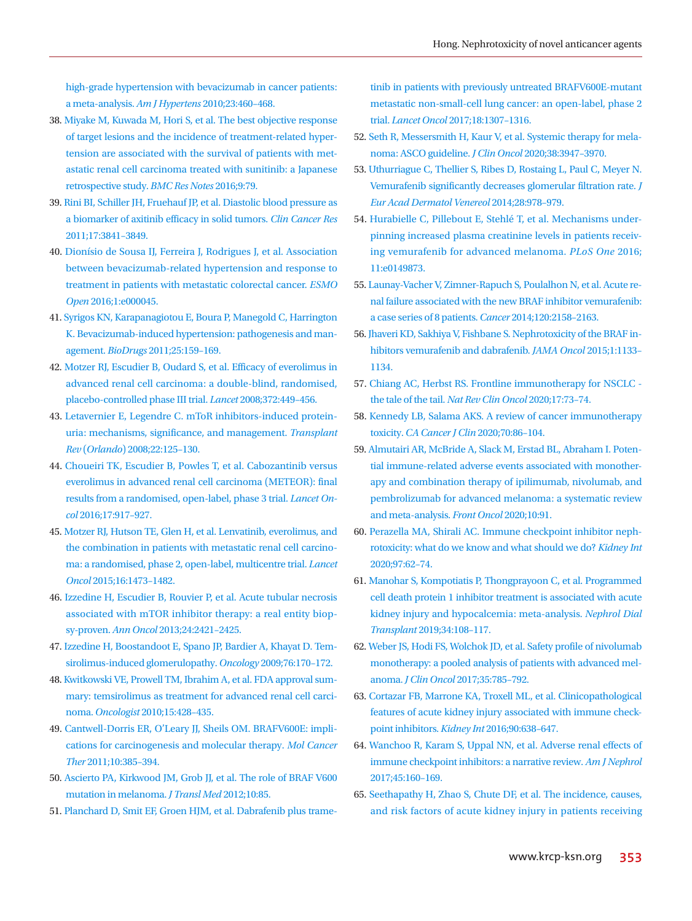[high-grade hypertension with bevacizumab in cancer patients:](https://doi.org/10.1038/ajh.2010.25)  a meta-analysis. *Am J Hypertens* [2010;23:460–468.](https://doi.org/10.1038/ajh.2010.25)

- <span id="page-9-0"></span>3[8. Miyake M, Kuwada M, Hori S, et al. The best objective response](https://doi.org/10.1186/s13104-016-1895-8)  [of target lesions and the incidence of treatment-related hyper](https://doi.org/10.1186/s13104-016-1895-8)[tension are associated with the survival of patients with met](https://doi.org/10.1186/s13104-016-1895-8)[astatic renal cell carcinoma treated with sunitinib: a](https://doi.org/10.1186/s13104-016-1895-8) Japanese retrospective study. *BMC Res Notes* 2016;9:79.
- 39. [Rini BI, Schiller JH, Fruehauf JP, et al. Diastolic blood pressure as](https://doi.org/10.1158/1078-0432.ccr-10-2806)  [a biomarker of axitinib efficacy in solid tumors.](https://doi.org/10.1158/1078-0432.ccr-10-2806) *Clin Cancer Res*  [2011;17:3841–3849.](https://doi.org/10.1158/1078-0432.ccr-10-2806)
- <span id="page-9-1"></span>4[0. Dionísio de Sousa IJ, Fer](https://doi.org/10.1136/esmoopen-2016-000045)reira J, Rodrigues J, et al. Association between bevacizumab-related hypertension and response to treatment in patients with metastatic colorectal cancer. *ESMO Open* 2016;1:e000045.
- <span id="page-9-2"></span>41. [Syrigos KN, Karapanagiotou E, Boura P, Manegold C, Harrington](https://doi.org/10.2165/11590180-000000000-00000)  [K. Bevacizumab-induced hypertension: pathogenesis and man](https://doi.org/10.2165/11590180-000000000-00000)agement. *BioDrugs* [2011;25:159–169.](https://doi.org/10.2165/11590180-000000000-00000)
- <span id="page-9-3"></span>4[2. Motzer RJ, Escudier B, Oudard S, et al. Efficacy of everolimus in](https://doi.org/10.1016/s0140-6736(08)61039-9)  [advanced renal cell carcinoma: a double-blind, randomised,](https://doi.org/10.1016/s0140-6736(08)61039-9)  [placebo-controlled phase III trial.](https://doi.org/10.1016/s0140-6736(08)61039-9) *Lancet* 2008;372:449–456.
- <span id="page-9-4"></span>4[3. Letavernier E, Legendre C. mToR inhibitors-induced protein](https://doi.org/10.1016/j.trre.2007.12.001)[uria: mechanisms, significance, and management.](https://doi.org/10.1016/j.trre.2007.12.001) *Transplant Rev* (*Orlando*[\) 2008;22:125–130](https://doi.org/10.1016/j.trre.2007.12.001).
- <span id="page-9-5"></span>4[4. Choueiri TK, Escudier B, Powles T, et al. Cabozantinib versus](https://doi.org/10.1016/s1470-2045(16)30107-3)  [everolimus in advanced renal cell carcinoma \(METEOR\): final](https://doi.org/10.1016/s1470-2045(16)30107-3)  [results from a randomised, open-label, phase 3 trial.](https://doi.org/10.1016/s1470-2045(16)30107-3) *Lancet Oncol* [2016;17:917–927.](https://doi.org/10.1016/s1470-2045(16)30107-3)
- <span id="page-9-6"></span>4[5. Motzer RJ, Hutson TE, Glen H, et al. Lenvatinib, everolimus, and](https://doi.org/10.1016/s1470-2045(15)00290-9)  [the combination in patients with metastatic renal cell carcino](https://doi.org/10.1016/s1470-2045(15)00290-9)[ma: a randomised, phase 2, open-label, multicentre trial.](https://doi.org/10.1016/s1470-2045(15)00290-9) *Lancet Oncol* [2015;16:1473–1482.](https://doi.org/10.1016/s1470-2045(15)00290-9)
- <span id="page-9-7"></span>4[6. Izzedine H, Escudier B, Rouvier P, et al. Acute tubular necrosis](https://doi.org/10.1093/annonc/mdt233)  [associated with mTOR inhibitor therapy: a real entity biop](https://doi.org/10.1093/annonc/mdt233)sy-proven. *Ann Oncol* [2013;24:2421–2425.](https://doi.org/10.1093/annonc/mdt233)
- <span id="page-9-8"></span>4[7. Izzedine H, Boostandoot E, Spano JP, Bardier A, Khayat D. Tem](https://doi.org/10.1159/000201930)[sirolimus-induced glomerulopathy.](https://doi.org/10.1159/000201930) *Oncology* 2009;76:170–172.
- <span id="page-9-9"></span>4[8. Kwitkowski VE, Prowell TM, Ibrahim A, et al. FDA approval sum](https://doi.org/10.1634/theoncologist.2009-0178)[mary: temsirolimus as treatment for advanced renal cell carci](https://doi.org/10.1634/theoncologist.2009-0178)noma. *Oncologist* [2010;15:428–435.](https://doi.org/10.1634/theoncologist.2009-0178)
- <span id="page-9-10"></span>49. [Cantwell-Dorris ER, O'Leary JJ, Sheils OM. BRAFV600E: impli](https://doi.org/10.1158/1535-7163.mct-10-0799)[cations for carcinogenesis and molecular therapy.](https://doi.org/10.1158/1535-7163.mct-10-0799) *Mol Cancer Ther* [2011;10:385–394.](https://doi.org/10.1158/1535-7163.mct-10-0799)
- <span id="page-9-11"></span>50. [Ascierto PA, Kirkwood JM, Grob JJ, et al. The role of BRAF V600](https://doi.org/10.1186/1479-5876-10-85)  [mutation in melanoma.](https://doi.org/10.1186/1479-5876-10-85) *J Transl Med* 2012;10:85.
- <span id="page-9-12"></span>51. [Planchard D, Smit EF, Groen HJM, et al. Dabrafenib plus trame-](https://doi.org/10.1016/s1470-2045(17)30679-4)

[tinib in patients with previously untreated BRAFV600E-mutant](https://doi.org/10.1016/s1470-2045(17)30679-4)  [metastatic non-small-cell lung cancer: an open-label, phase 2](https://doi.org/10.1016/s1470-2045(17)30679-4)  trial. *Lancet Oncol* [2017;18:1307–1316.](https://doi.org/10.1016/s1470-2045(17)30679-4)

- <span id="page-9-13"></span>52. [Seth R, Messersmith H, Kaur V, et al. Systemic therapy for mela](https://doi.org/10.1200/jco.20.00198)[noma: ASCO guideline.](https://doi.org/10.1200/jco.20.00198) *J Clin Oncol* 2020;38:3947–3970.
- <span id="page-9-14"></span>53. Uthurriague C, Thellier S, Ribes D[, Rostaing L, Paul C, Meyer N.](https://doi.org/10.1111/jdv.12322)  [Vemurafenib significantly decreases glomerular filtration rate.](https://doi.org/10.1111/jdv.12322) *J [Eur Acad Dermatol Venereol](https://doi.org/10.1111/jdv.12322)* 2014;28:978–979.
- <span id="page-9-17"></span>54[. Hurabielle C, Pillebout E, Stehlé T, et al. Mechanisms under](https://doi.org/10.1371/journal.pone.0149873)[pinning increased plasma creatinine levels in patients receiv](https://doi.org/10.1371/journal.pone.0149873)[ing vemurafenib for advanced melanoma.](https://doi.org/10.1371/journal.pone.0149873) *PLoS One* 2016; [11:e0149873](https://doi.org/10.1371/journal.pone.0149873).
- <span id="page-9-15"></span>5[5. Launay-Vacher V, Zimner-Rapuch S, Poulalhon N, et al. Acute re](https://doi.org/10.1002/cncr.28709)[nal failure associated with the new BRAF inhibitor vemurafenib:](https://doi.org/10.1002/cncr.28709)  [a case series of 8 patients.](https://doi.org/10.1002/cncr.28709) *Cancer* 2014;120:2158–2163.
- <span id="page-9-16"></span>5[6. Jhaveri KD, Sakhiya V, Fishbane S. Nephrotoxicity of the BRAF in](https://doi.org/10.1001/jamaoncol.2015.1713)[hibitors vemurafenib and dabrafenib.](https://doi.org/10.1001/jamaoncol.2015.1713) *JAMA Oncol* 2015;1:1133– [1134](https://doi.org/10.1001/jamaoncol.2015.1713).
- <span id="page-9-19"></span>57. Chiang AC, Herbst RS. Frontline immunothe[rapy for NSCLC](https://doi.org/10.1038/s41571-019-0317-y)  the tale of the tail. *[Nat Rev Clin Oncol](https://doi.org/10.1038/s41571-019-0317-y)* 2020;17:73–74.
- 58. [Kennedy LB, Salama AKS. A review of cancer immunotherapy](https://doi.org/10.3322/caac.21596)  toxicity. *[CA Cancer J Clin](https://doi.org/10.3322/caac.21596)* 2020;70:86–104.
- <span id="page-9-18"></span>5[9. Almutairi AR, McBride A, Slack M, Erstad BL, Abraham I. Poten](https://doi.org/10.3389/fonc.2020.00091)[tial immune-related adverse events associated with monother](https://doi.org/10.3389/fonc.2020.00091)[apy and combination therapy of ipilimumab, nivolumab, and](https://doi.org/10.3389/fonc.2020.00091)  [pembrolizumab for advanced melanoma:](https://doi.org/10.3389/fonc.2020.00091) a systematic review and meta-analysis. *Front Oncol* 2020;10:91.
- <span id="page-9-23"></span><span id="page-9-22"></span>60. P[erazella MA, Shirali AC. Immune checkpoint inhibitor neph](https://doi.org/10.1016/j.kint.2019.07.022)[rotoxicity: what do we know and what should we do?](https://doi.org/10.1016/j.kint.2019.07.022) *Kidney Int*  [2020;97:62–74](https://doi.org/10.1016/j.kint.2019.07.022).
- <span id="page-9-20"></span>61. Manohar S, Kompotiatis [P, Thongprayoon C, et al. Programmed](https://doi.org/10.1093/ndt/gfy105)  [cell death protein 1 inhibitor treatment is associated with acute](https://doi.org/10.1093/ndt/gfy105)  [kidney injury and hypocalcemia: meta-analysis.](https://doi.org/10.1093/ndt/gfy105) *Nephrol Dial Transplant* [2019;34:108–117.](https://doi.org/10.1093/ndt/gfy105)
- <span id="page-9-21"></span>6[2. Weber JS, Hodi FS, Wolchok JD, et al. Safety profile of nivolumab](https://doi.org/10.1200/jco.2015.66.1389)  [monotherapy: a pooled analysis of patients with advanced mel](https://doi.org/10.1200/jco.2015.66.1389)anoma. *J Clin Oncol* [2017;35:785–792](https://doi.org/10.1200/jco.2015.66.1389).
- <span id="page-9-24"></span>63. Cortazar [FB, Marrone KA, Troxell ML, et al. Clinicopathological](https://doi.org/10.1016/j.kint.2016.04.008)  [features of acute kidney injury associated with immune check](https://doi.org/10.1016/j.kint.2016.04.008)[point inhibitors.](https://doi.org/10.1016/j.kint.2016.04.008) *Kidney Int* 2016;90:638–647.
- 64. [Wanchoo R, Karam S, Uppal NN, et al. Adverse renal effects of](https://doi.org/10.1159/000455014)  [immune checkpoint inhibitors: a narrative review.](https://doi.org/10.1159/000455014) *Am J Nephrol*  [2017;45:160–169.](https://doi.org/10.1159/000455014)
- 65. [Seethapathy H, Zhao S, Chute DF, et al. The incidence, causes,](https://doi.org/10.2215/cjn.00990119)  [and risk factors of acute kidney injury in patients receiving](https://doi.org/10.2215/cjn.00990119)